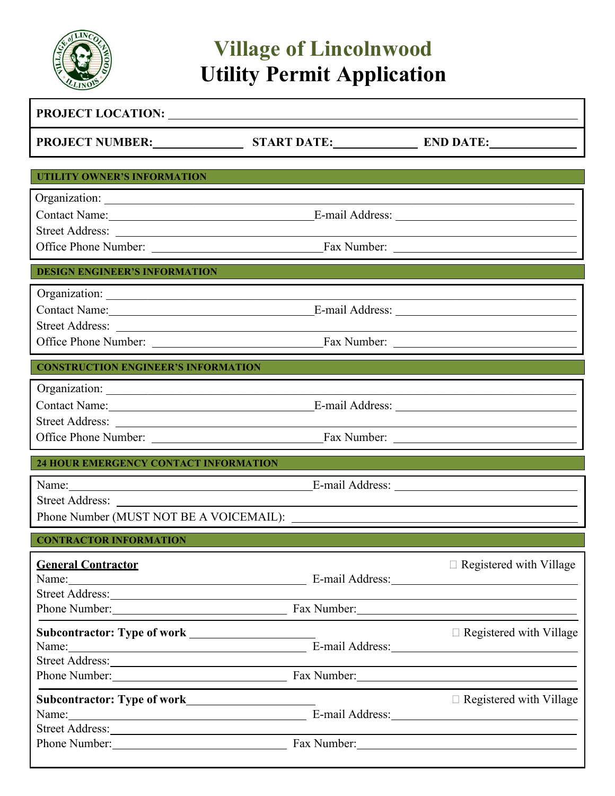

## **Village of Lincolnwood Utility Permit Application**

| PROJECT LOCATION:                                                                                                                                                                                                                                                                                                                                                                                                                                              |                                                                                           |
|----------------------------------------------------------------------------------------------------------------------------------------------------------------------------------------------------------------------------------------------------------------------------------------------------------------------------------------------------------------------------------------------------------------------------------------------------------------|-------------------------------------------------------------------------------------------|
| PROJECT NUMBER:                                                                                                                                                                                                                                                                                                                                                                                                                                                |                                                                                           |
| <b>UTILITY OWNER'S INFORMATION</b>                                                                                                                                                                                                                                                                                                                                                                                                                             |                                                                                           |
|                                                                                                                                                                                                                                                                                                                                                                                                                                                                |                                                                                           |
| <b>DESIGN ENGINEER'S INFORMATION</b>                                                                                                                                                                                                                                                                                                                                                                                                                           |                                                                                           |
| Contact Name: 1988<br>Street Address:                                                                                                                                                                                                                                                                                                                                                                                                                          |                                                                                           |
| <b>CONSTRUCTION ENGINEER'S INFORMATION</b>                                                                                                                                                                                                                                                                                                                                                                                                                     |                                                                                           |
| Street Address:                                                                                                                                                                                                                                                                                                                                                                                                                                                |                                                                                           |
| 24 HOUR EMERGENCY CONTACT INFORMATION                                                                                                                                                                                                                                                                                                                                                                                                                          |                                                                                           |
| Name: Name:<br>Street Address:<br>Phone Number (MUST NOT BE A VOICEMAIL):                                                                                                                                                                                                                                                                                                                                                                                      |                                                                                           |
| <b>CONTRACTOR INFORMATION</b>                                                                                                                                                                                                                                                                                                                                                                                                                                  |                                                                                           |
| <b>General Contractor</b><br>Name: Name: Name: Name: Name: Name: Name: Name: Name: Name: Name: Name: Name: Name: Name: Name: Name: Name: Name: Name: Name: Name: Name: Name: Name: Name: Name: Name: Name: Name: Name: Name: Name: Name: Name: Name: Name:<br>Street Address: No. 1996. The Street Address:<br>Phone Number: Fax Number:                                                                                                                       | $\Box$ Registered with Village                                                            |
|                                                                                                                                                                                                                                                                                                                                                                                                                                                                | $\Box$ Registered with Village                                                            |
| Name: Name: Name: Name: Name: Name: Name: Name: Name: Name: Name: Name: Name: Name: Name: Name: Name: Name: Name: Name: Name: Name: Name: Name: Name: Name: Name: Name: Name: Name: Name: Name: Name: Name: Name: Name: Name:<br>Street Address: No. 2016. The Contract of the Contract of the Contract of the Contract of the Contract of the Contract of the Contract of the Contract of the Contract of the Contract of the Contract of the Contract of the |                                                                                           |
|                                                                                                                                                                                                                                                                                                                                                                                                                                                                |                                                                                           |
| Name: Name and the second state of the second state of the second state of the second state of the second state of the second state of the second state of the second state of the second state of the second state of the sec                                                                                                                                                                                                                                 | $\Box$ Registered with Village<br>E-mail Address:<br><u>Letting</u> and the mail Address: |
| Phone Number: <u>Number:</u> Fax Number: Example 2014                                                                                                                                                                                                                                                                                                                                                                                                          |                                                                                           |